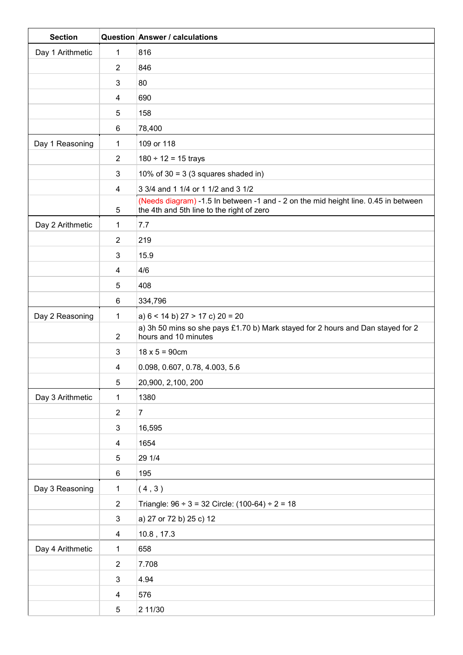| <b>Section</b>   |                         | <b>Question Answer / calculations</b>                                                                                           |
|------------------|-------------------------|---------------------------------------------------------------------------------------------------------------------------------|
| Day 1 Arithmetic | 1                       | 816                                                                                                                             |
|                  | $\overline{2}$          | 846                                                                                                                             |
|                  | 3                       | 80                                                                                                                              |
|                  | 4                       | 690                                                                                                                             |
|                  | 5                       | 158                                                                                                                             |
|                  | 6                       | 78,400                                                                                                                          |
| Day 1 Reasoning  | 1                       | 109 or 118                                                                                                                      |
|                  | $\overline{2}$          | $180 \div 12 = 15$ trays                                                                                                        |
|                  | 3                       | 10% of 30 = 3 (3 squares shaded in)                                                                                             |
|                  | 4                       | 3 3/4 and 1 1/4 or 1 1/2 and 3 1/2                                                                                              |
|                  | 5                       | (Needs diagram) -1.5 In between -1 and - 2 on the mid height line. 0.45 in between<br>the 4th and 5th line to the right of zero |
| Day 2 Arithmetic | 1                       | 7.7                                                                                                                             |
|                  | 2                       | 219                                                                                                                             |
|                  | 3                       | 15.9                                                                                                                            |
|                  | 4                       | 4/6                                                                                                                             |
|                  | 5                       | 408                                                                                                                             |
|                  | $6\phantom{1}$          | 334,796                                                                                                                         |
| Day 2 Reasoning  | 1                       | a) $6 < 14$ b) $27 > 17$ c) $20 = 20$                                                                                           |
|                  | $\overline{2}$          | a) 3h 50 mins so she pays £1.70 b) Mark stayed for 2 hours and Dan stayed for 2<br>hours and 10 minutes                         |
|                  | 3                       | $18 \times 5 = 90$ cm                                                                                                           |
|                  | 4                       | 0.098, 0.607, 0.78, 4.003, 5.6                                                                                                  |
|                  | $\overline{5}$          | 20,900, 2,100, 200                                                                                                              |
| Day 3 Arithmetic | 1                       | 1380                                                                                                                            |
|                  | $\overline{2}$          | $\overline{7}$                                                                                                                  |
|                  | $\mathbf{3}$            | 16,595                                                                                                                          |
|                  | $\overline{4}$          | 1654                                                                                                                            |
|                  | 5                       | 29 1/4                                                                                                                          |
|                  | $6\phantom{.}6$         | 195                                                                                                                             |
| Day 3 Reasoning  | 1                       | (4,3)                                                                                                                           |
|                  | $\sqrt{2}$              | Triangle: $96 \div 3 = 32$ Circle: $(100-64) \div 2 = 18$                                                                       |
|                  | $\mathbf{3}$            | a) 27 or 72 b) 25 c) 12                                                                                                         |
|                  | $\overline{\mathbf{4}}$ | $10.8$ , 17.3                                                                                                                   |
| Day 4 Arithmetic | 1                       | 658                                                                                                                             |
|                  | $\sqrt{2}$              | 7.708                                                                                                                           |
|                  | 3                       | 4.94                                                                                                                            |
|                  | 4                       | 576                                                                                                                             |
|                  | 5                       | 2 11/30                                                                                                                         |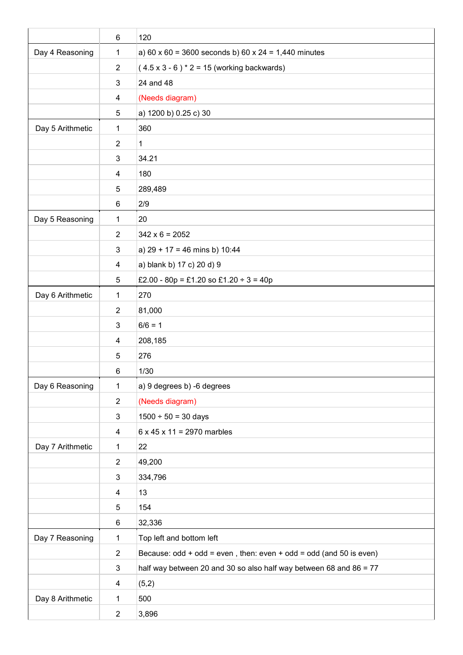|                  | $\,6$                   | 120                                                                     |
|------------------|-------------------------|-------------------------------------------------------------------------|
| Day 4 Reasoning  | 1                       | a) $60 \times 60 = 3600$ seconds b) $60 \times 24 = 1,440$ minutes      |
|                  | $\overline{2}$          | $(4.5 \times 3 - 6)$ * 2 = 15 (working backwards)                       |
|                  | 3                       | 24 and 48                                                               |
|                  | 4                       | (Needs diagram)                                                         |
|                  | $\sqrt{5}$              | a) 1200 b) 0.25 c) 30                                                   |
| Day 5 Arithmetic | 1                       | 360                                                                     |
|                  | $\overline{2}$          | $\mathbf{1}$                                                            |
|                  | 3                       | 34.21                                                                   |
|                  | 4                       | 180                                                                     |
|                  | 5                       | 289,489                                                                 |
|                  | $\,6$                   | 2/9                                                                     |
| Day 5 Reasoning  | 1                       | 20                                                                      |
|                  | $\overline{2}$          | $342 \times 6 = 2052$                                                   |
|                  | 3                       | a) $29 + 17 = 46$ mins b) 10:44                                         |
|                  | 4                       | a) blank b) 17 c) 20 d) 9                                               |
|                  | 5                       | £2.00 - 80p = £1.20 so £1.20 ÷ 3 = 40p                                  |
| Day 6 Arithmetic | 1                       | 270                                                                     |
|                  | $\overline{2}$          | 81,000                                                                  |
|                  | 3                       | $6/6 = 1$                                                               |
|                  | 4                       | 208,185                                                                 |
|                  | 5                       | 276                                                                     |
|                  | $\,6$                   | 1/30                                                                    |
| Day 6 Reasoning  | $\mathbf 1$             | a) 9 degrees b) -6 degrees                                              |
|                  | $\overline{2}$          | (Needs diagram)                                                         |
|                  | 3                       | $1500 \div 50 = 30$ days                                                |
|                  | $\overline{\mathbf{4}}$ | $6 \times 45 \times 11 = 2970$ marbles                                  |
| Day 7 Arithmetic | 1                       | 22                                                                      |
|                  | $\overline{2}$          | 49,200                                                                  |
|                  | 3                       | 334,796                                                                 |
|                  | $\overline{\mathbf{4}}$ | 13                                                                      |
|                  | 5                       | 154                                                                     |
|                  | 6                       | 32,336                                                                  |
| Day 7 Reasoning  | $\mathbf 1$             | Top left and bottom left                                                |
|                  | $\overline{2}$          | Because: $odd + odd = even$ , then: even $+ odd = odd$ (and 50 is even) |
|                  | 3                       | half way between 20 and 30 so also half way between 68 and 86 = 77      |
|                  | 4                       | (5,2)                                                                   |
| Day 8 Arithmetic | 1                       | 500                                                                     |
|                  | $\overline{2}$          | 3,896                                                                   |